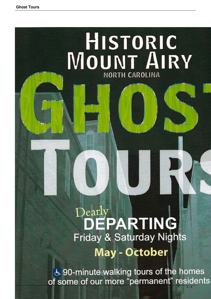

& 90-minute walking tours of the homes of some of our more "permanent" residents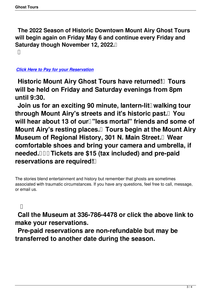**The 2022 Season of Historic Downtown Mount Airy Ghost Tours will begin again on Friday May 6 and continue every Friday and Saturday though November 12, 2022.** 

 $\Box$ 

## *Click Here to Pay for your Reservation*

**Historic Mount Airy Ghost Tours have returned!** Tours **[will be held on Friday and](index.php?option=com_content&view=article&id=254&Itemid=198) Saturday evenings from 8pm until 9:30.**

Join us for an exciting 90 minute, lantern-lit<sup>[]</sup> walking tour **through Mount Airy's streets and it's historic past. You** will hear about 13 of our l"less mortal" friends and some of **Mount Airy's resting places. Tours begin at the Mount Airy Museum of Regional History, 301 N. Main Street.** Wear **comfortable shoes and bring your camera and umbrella, if needed. Tickets are \$15 (tax included) and pre-paid reservations are required!** 

The stories blend entertainment and history but remember that ghosts are sometimes associated with traumatic circumstances. If you have any questions, feel free to call, message, or email us.

 $\Box$ 

 **Call the Museum at 336-786-4478 or click the above link to make your reservations.**

 **Pre-paid reservations are non-refundable but may be transferred to another date during the season.**